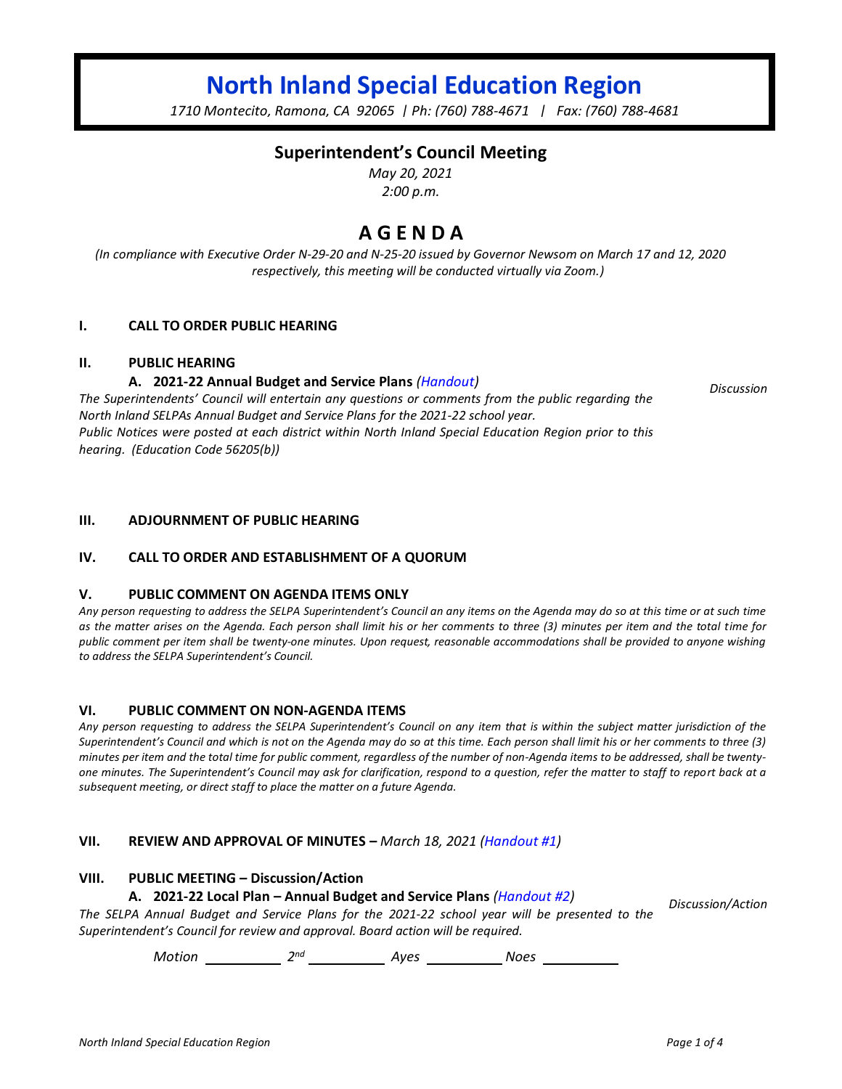# **North Inland Special Education Region**

*1710 Montecito, Ramona, CA 92065 | Ph: (760) 788-4671 | Fax: (760) 788-4681*

## **Superintendent's Council Meeting**

*May 20, 2021 2:00 p.m.*

## **A G E N D A**

*(In compliance with Executive Order N-29-20 and N-25-20 issued by Governor Newsom on March 17 and 12, 2020 respectively, this meeting will be conducted virtually via Zoom.)*

## **I. CALL TO ORDER PUBLIC HEARING**

## **II. PUBLIC HEARING**

## **A. 2021-22 Annual Budget and Service Plans** *(Handout)*

*The Superintendents' Council will entertain any questions or comments from the public regarding the North Inland SELPAs Annual Budget and Service Plans for the 2021-22 school year. Public Notices were posted at each district within North Inland Special Education Region prior to this hearing. (Education Code 56205(b))*

**III. ADJOURNMENT OF PUBLIC HEARING**

## **IV. CALL TO ORDER AND ESTABLISHMENT OF A QUORUM**

#### **V. PUBLIC COMMENT ON AGENDA ITEMS ONLY**

*Any person requesting to address the SELPA Superintendent's Council an any items on the Agenda may do so at this time or at such time as the matter arises on the Agenda. Each person shall limit his or her comments to three (3) minutes per item and the total time for public comment per item shall be twenty-one minutes. Upon request, reasonable accommodations shall be provided to anyone wishing to address the SELPA Superintendent's Council.*

## **VI. PUBLIC COMMENT ON NON-AGENDA ITEMS**

*Any person requesting to address the SELPA Superintendent's Council on any item that is within the subject matter jurisdiction of the Superintendent's Council and which is not on the Agenda may do so at this time. Each person shall limit his or her comments to three (3) minutes per item and the total time for public comment, regardless of the number of non-Agenda items to be addressed, shall be twentyone minutes. The Superintendent's Council may ask for clarification, respond to a question, refer the matter to staff to report back at a subsequent meeting, or direct staff to place the matter on a future Agenda.*

## **VII. REVIEW AND APPROVAL OF MINUTES –** *March 18, 2021 (Handout #1)*

#### **VIII. PUBLIC MEETING – Discussion/Action**

#### **A. 2021-22 Local Plan – Annual Budget and Service Plans** *(Handout #2)*

*The SELPA Annual Budget and Service Plans for the 2021-22 school year will be presented to the Superintendent's Council for review and approval. Board action will be required. Discussion/Action*

*Motion* \_\_\_\_\_\_\_\_\_\_\_\_\_ 2<sup>nd</sup> \_\_\_\_\_\_\_\_\_\_\_\_\_ Ayes \_\_\_\_\_\_\_\_\_\_\_\_\_ Noes

*Discussion*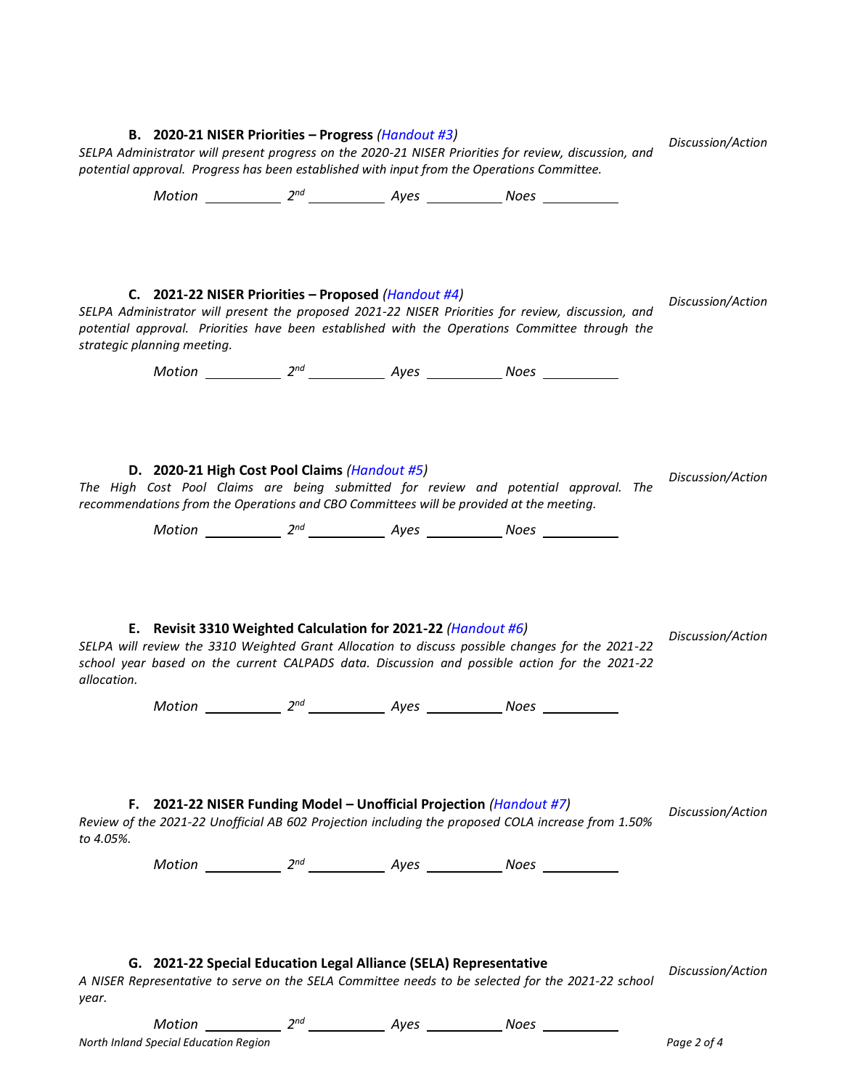# **B. 2020-21 NISER Priorities – Progress** *(Handout #3) SELPA Administrator will present progress on the 2020-21 NISER Priorities for review, discussion, and potential approval. Progress has been established with input from the Operations Committee. Discussion/Action Motion* \_\_\_\_\_\_\_\_\_\_\_\_\_\_ 2<sup>nd</sup> \_\_\_\_\_\_\_\_\_\_\_\_\_\_ Ayes \_\_\_\_\_\_\_\_\_\_\_\_\_\_ Noes **C. 2021-22 NISER Priorities – Proposed** *(Handout #4) SELPA Administrator will present the proposed 2021-22 NISER Priorities for review, discussion, and potential approval. Priorities have been established with the Operations Committee through the strategic planning meeting. Discussion/Action Motion* \_\_\_\_\_\_\_\_\_\_\_\_\_\_ 2<sup>nd</sup> \_\_\_\_\_\_\_\_\_\_\_\_\_\_ Ayes \_\_\_\_\_\_\_\_\_\_\_\_\_\_ Noes **D. 2020-21 High Cost Pool Claims** *(Handout #5) The High Cost Pool Claims are being submitted for review and potential approval. The recommendations from the Operations and CBO Committees will be provided at the meeting. Discussion/Action Motion* \_\_\_\_\_\_\_\_\_\_\_\_\_\_ 2<sup>nd</sup> \_\_\_\_\_\_\_\_\_\_\_\_\_\_ Ayes \_\_\_\_\_\_\_\_\_\_\_\_\_\_ Noes **E. Revisit 3310 Weighted Calculation for 2021-22** *(Handout #6) SELPA will review the 3310 Weighted Grant Allocation to discuss possible changes for the 2021-22 school year based on the current CALPADS data. Discussion and possible action for the 2021-22 allocation. Discussion/Action Motion* \_\_\_\_\_\_\_\_\_\_\_\_\_ 2<sup>nd</sup> \_\_\_\_\_\_\_\_\_\_\_\_\_ Ayes \_\_\_\_\_\_\_\_\_\_\_\_\_ Noes **F. 2021-22 NISER Funding Model – Unofficial Projection** *(Handout #7) Review of the 2021-22 Unofficial AB 602 Projection including the proposed COLA increase from 1.50% to 4.05%. Discussion/Action Motion* \_\_\_\_\_\_\_\_\_\_\_\_\_\_ 2<sup>nd</sup> \_\_\_\_\_\_\_\_\_\_\_\_\_\_ Ayes \_\_\_\_\_\_\_\_\_\_\_\_\_\_ Noes **G. 2021-22 Special Education Legal Alliance (SELA) Representative** *A NISER Representative to serve on the SELA Committee needs to be selected for the 2021-22 school year. Discussion/Action Motion* \_\_\_\_\_\_\_\_\_\_\_\_\_ 2<sup>nd</sup> \_\_\_\_\_\_\_\_\_\_\_\_\_ Ayes \_\_\_\_\_\_\_\_\_\_\_\_\_ Noes

*North Inland Special Education Region Page 2 of 4*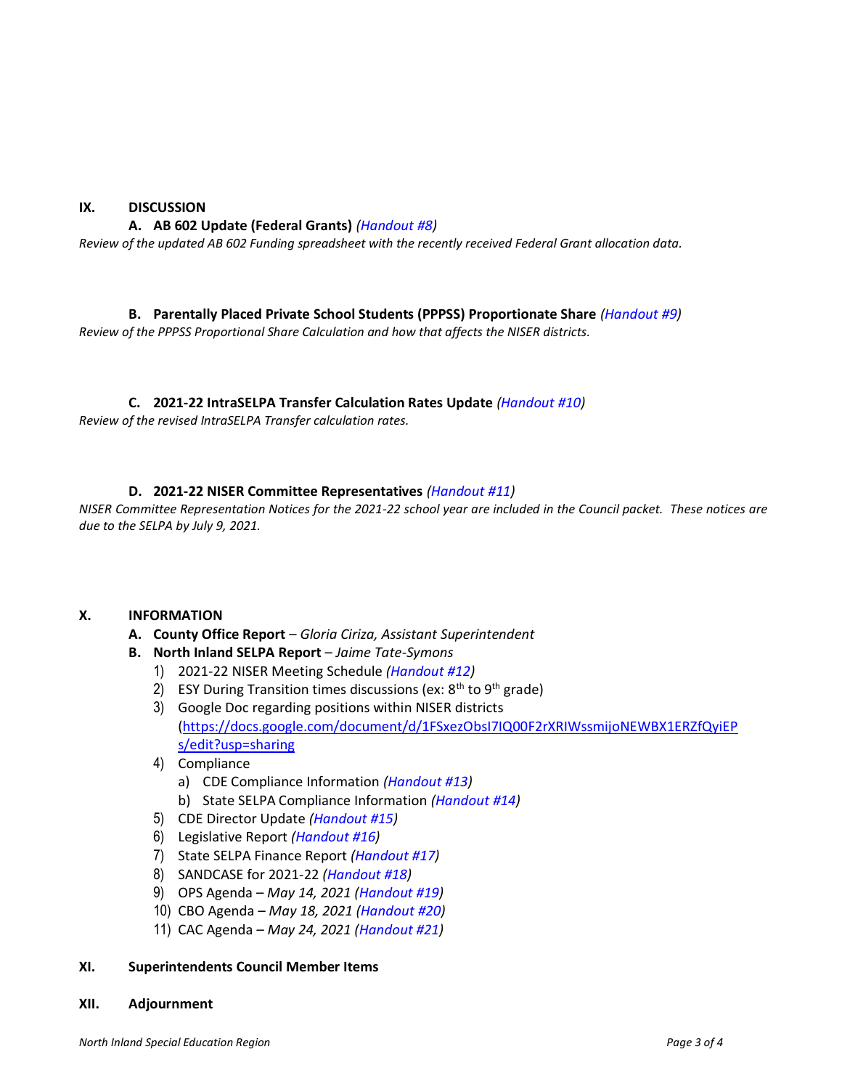## **IX. DISCUSSION**

## **A. AB 602 Update (Federal Grants)** *(Handout #8)*

*Review of the updated AB 602 Funding spreadsheet with the recently received Federal Grant allocation data.*

**B. Parentally Placed Private School Students (PPPSS) Proportionate Share** *(Handout #9)*

*Review of the PPPSS Proportional Share Calculation and how that affects the NISER districts.*

## **C. 2021-22 IntraSELPA Transfer Calculation Rates Update** *(Handout #10)*

*Review of the revised IntraSELPA Transfer calculation rates.*

## **D. 2021-22 NISER Committee Representatives** *(Handout #11)*

*NISER Committee Representation Notices for the 2021-22 school year are included in the Council packet. These notices are due to the SELPA by July 9, 2021.*

## **X. INFORMATION**

- **A. County Office Report** *Gloria Ciriza, Assistant Superintendent*
- **B. North Inland SELPA Report** *Jaime Tate-Symons*
	- 1) 2021-22 NISER Meeting Schedule *(Handout #12)*
	- 2) ESY During Transition times discussions (ex:  $8<sup>th</sup>$  to  $9<sup>th</sup>$  grade)
	- 3) Google Doc regarding positions within NISER districts [\(https://docs.google.com/document/d/1FSxezObsI7IQ00F2rXRIWssmijoNEWBX1ERZfQyiEP](https://docs.google.com/document/d/1FSxezObsI7IQ00F2rXRIWssmijoNEWBX1ERZfQyiEPs/edit?usp=sharing) [s/edit?usp=sharing](https://docs.google.com/document/d/1FSxezObsI7IQ00F2rXRIWssmijoNEWBX1ERZfQyiEPs/edit?usp=sharing)
	- 4) Compliance
		- a) CDE Compliance Information *(Handout #13)*
		- b) State SELPA Compliance Information *(Handout #14)*
	- 5) CDE Director Update *(Handout #15)*
	- 6) Legislative Report *(Handout #16)*
	- 7) State SELPA Finance Report *(Handout #17)*
	- 8) SANDCASE for 2021-22 *(Handout #18)*
	- 9) OPS Agenda *– May 14, 2021 (Handout #19)*
	- 10) CBO Agenda *– May 18, 2021 (Handout #20)*
	- 11) CAC Agenda *– May 24, 2021 (Handout #21)*

## **XI. Superintendents Council Member Items**

## **XII. Adjournment**